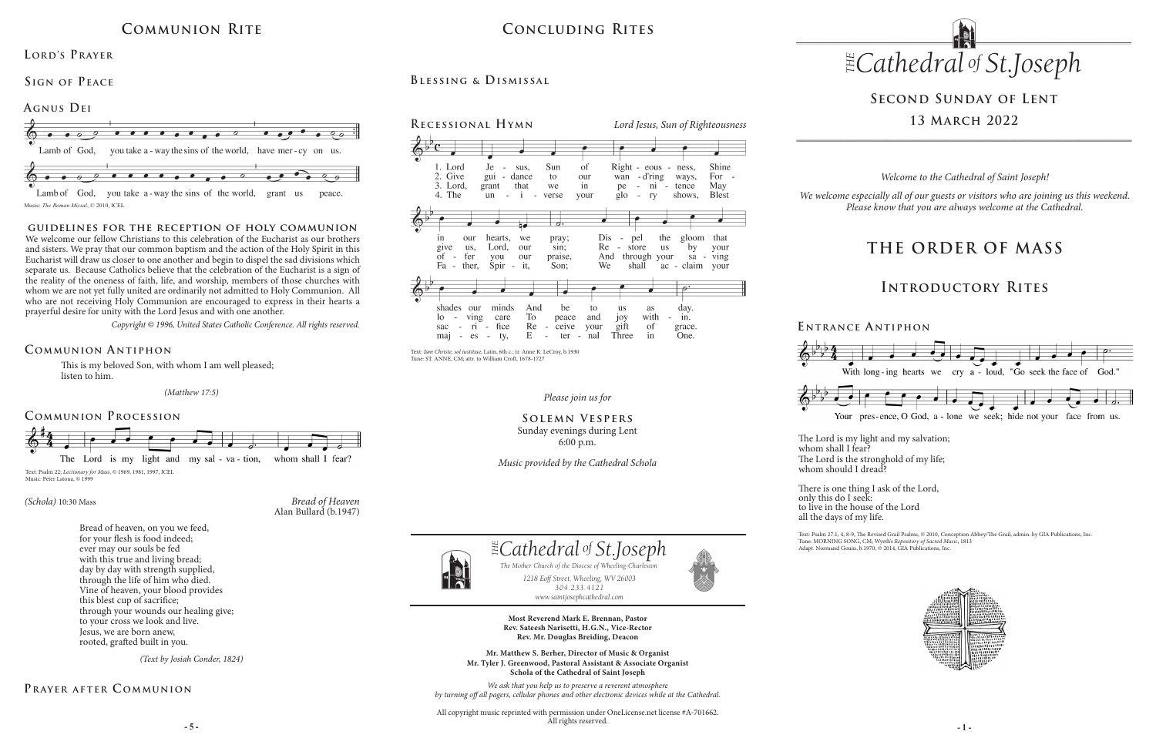*Please join us for*

**Solemn Vespers** Sunday evenings during Lent 6:00 p.m.

*Music provided by the Cathedral Schola*

# **Second Sunday of Lent 13 March 2022**

This is my beloved Son, with whom I am well pleased; listen to him.

### **Communion A ntiphon**

### **Prayer after C ommunion**

## **Concluding Rites**

### LORD'S PRAYER

**Blessing & Dismissal**





### *(Schola)* 10:30 Mass

Bread of heaven, on you we feed, for your flesh is food indeed; ever may our souls be fed with this true and living bread; day by day with strength supplied, through the life of him who died. Vine of heaven, your blood provides this blest cup of sacrifice; through your wounds our healing give; to your cross we look and live. Jesus, we are born anew, rooted, grafted built in you.

**E ntrance A ntiphon**

## **Communion Rite**





Music: *The Roman Missal*, © 2010, ICEL

### **Communion Procession**

### **Sign of Peace**

*(Text by Josiah Conder, 1824)*

*(Matthew 17:5)*

# **THE ORDER OF MASS**

## **Introductory Rites**

*Welcome to the Cathedral of Saint Joseph!*

*We welcome especially all of our guests or visitors who are joining us this weekend. Please know that you are always welcome at the Cathedral.*

### **guidelines for the reception of holy communion**

**- 5 - - 1 -** All copyright music reprinted with permission under OneLicense.net license #A-701662. All rights reserved.



whom shall I fear? whom should I dread?

We welcome our fellow Christians to this celebration of the Eucharist as our brothers and sisters. We pray that our common baptism and the action of the Holy Spirit in this Eucharist will draw us closer to one another and begin to dispel the sad divisions which separate us. Because Catholics believe that the celebration of the Eucharist is a sign of the reality of the oneness of faith, life, and worship, members of those churches with whom we are not yet fully united are ordinarily not admitted to Holy Communion. All who are not receiving Holy Communion are encouraged to express in their hearts a prayerful desire for unity with the Lord Jesus and with one another.

*Copyright © 1996, United States Catholic Conference. All rights reserved.* 



*1218 Eoff Street, Wheeling, WV 26003 304.233.4121 304.233.4121*

*www.saintjosephcathedral.com*

*www.saintjosephcathedral.com*

The Mother Church of the Diocese of Wheeling-Charlest<br>1218 Eoff Street, Wheeling, WV 26003

 *Cathedral St THE of .Joseph*

**Most Reverend Mark E. Brennan, Pastor Rev. Sateesh Narisetti, H.G.N., Vice-Rector Rev. Mr. Douglas Breiding, Deacon**

**Mr. Matthew S. Berher, Director of Music & Organist Mr. Tyler J. Greenwood, Pastoral Assistant & Associate Organist Schola of the Cathedral of Saint Joseph**

*1218 Eoff Street, Wheeling, WV 26003 The Mother Church of the Diocese of Wheeling-Charleston*

*We ask that you help us to preserve a reverent atmosphere by turning off all pagers, cellular phones and other electronic devices while at the Cathedral.*



The Lord is the stronghold of my life;

There is one thing I ask of the Lord, to live in the house of the Lord

only this do I seek: all the days of my life.



Text: Psalm 27:1, 4, 8-9, The Revised Grail Psalms, © 2010, Conception Abbey/The Grail, admin. by GIA Publications, Inc. Tune: MORNING SONG, CM; Wyeth's *Repository of Sacred Music*, 1813 Adapt. Normand Gouin, b.1970, © 2014, GIA Publications, Inc.



Text: *Iam Christe, sol iustitiae*, Latin, 6th c.; tr. Anne K. LeCroy, b.1930 Tune: ST. ANNE, CM; attr. to William Croft, 1678-1727